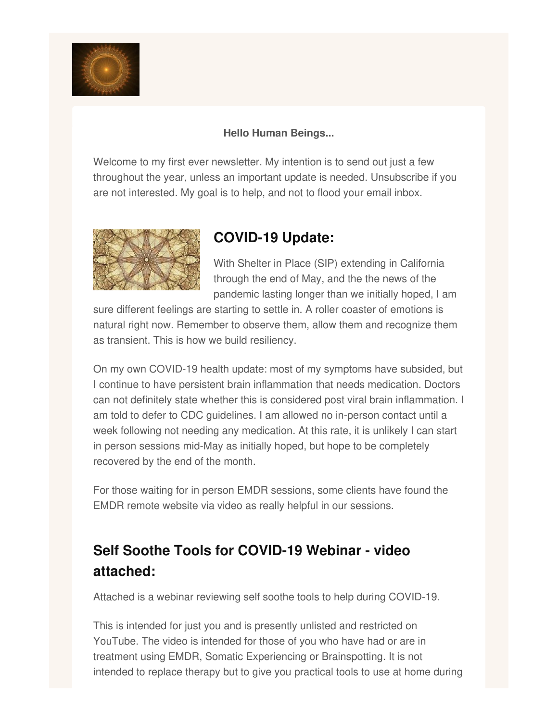

## **Hello Human Beings...**

Welcome to my first ever newsletter. My intention is to send out just a few throughout the year, unless an important update is needed. Unsubscribe if you are not interested. My goal is to help, and not to flood your email inbox.



## **COVID-19 Update:**

With Shelter in Place (SIP) extending in California through the end of May, and the the news of the pandemic lasting longer than we initially hoped, I am

sure different feelings are starting to settle in. A roller coaster of emotions is natural right now. Remember to observe them, allow them and recognize them as transient. This is how we build resiliency.

On my own COVID-19 health update: most of my symptoms have subsided, but I continue to have persistent brain inflammation that needs medication. Doctors can not definitely state whether this is considered post viral brain inflammation. I am told to defer to CDC guidelines. I am allowed no in-person contact until a week following not needing any medication. At this rate, it is unlikely I can start in person sessions mid-May as initially hoped, but hope to be completely recovered by the end of the month.

For those waiting for in person EMDR sessions, some clients have found the EMDR remote website via video as really helpful in our sessions.

## **Self Soothe Tools for COVID-19 Webinar - video attached:**

Attached is a webinar reviewing self soothe tools to help during COVID-19.

This is intended for just you and is presently unlisted and restricted on YouTube. The video is intended for those of you who have had or are in treatment using EMDR, Somatic Experiencing or Brainspotting. It is not intended to replace therapy but to give you practical tools to use at home during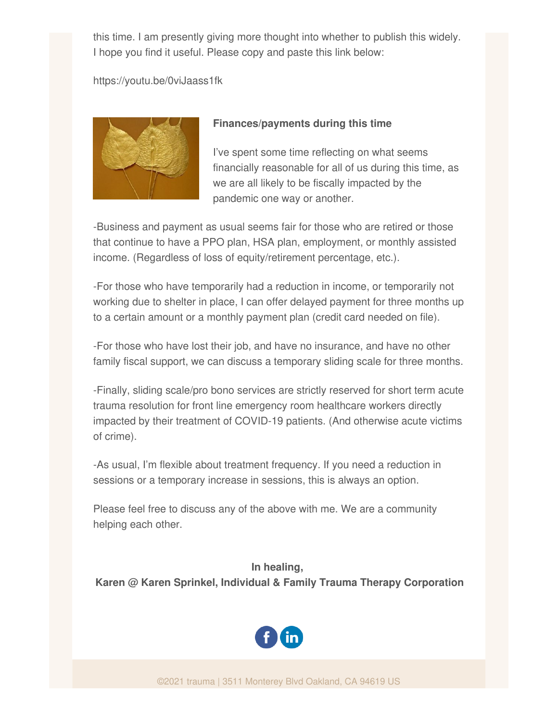this time. I am presently giving more thought into whether to publish this widely. I hope you find it useful. Please copy and paste this link below:

https://youtu.be/0viJaass1fk



## **Finances/payments during this time**

I've spent some time reflecting on what seems financially reasonable for all of us during this time, as we are all likely to be fiscally impacted by the pandemic one way or another.

-Business and payment as usual seems fair for those who are retired or those that continue to have a PPO plan, HSA plan, employment, or monthly assisted income. (Regardless of loss of equity/retirement percentage, etc.).

-For those who have temporarily had a reduction in income, or temporarily not working due to shelter in place, I can offer delayed payment for three months up to a certain amount or a monthly payment plan (credit card needed on file).

-For those who have lost their job, and have no insurance, and have no other family fiscal support, we can discuss a temporary sliding scale for three months.

-Finally, sliding scale/pro bono services are strictly reserved for short term acute trauma resolution for front line emergency room healthcare workers directly impacted by their treatment of COVID-19 patients. (And otherwise acute victims of crime).

-As usual, I'm flexible about treatment frequency. If you need a reduction in sessions or a temporary increase in sessions, this is always an option.

Please feel free to discuss any of the above with me. We are a community helping each other.

**In healing,**

**Karen @ Karen Sprinkel, Individual & Family Trauma Therapy Corporation**